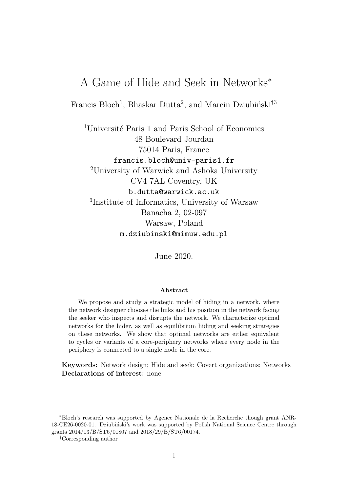# A Game of Hide and Seek in Networks<sup>∗</sup>

Francis Bloch<sup>1</sup>, Bhaskar Dutta<sup>2</sup>, and Marcin Dziubiński<sup>†3</sup>

<sup>1</sup>Université Paris 1 and Paris School of Economics 48 Boulevard Jourdan 75014 Paris, France francis.bloch@univ-paris1.fr <sup>2</sup>University of Warwick and Ashoka University CV4 7AL Coventry, UK b.dutta@warwick.ac.uk 3 Institute of Informatics, University of Warsaw Banacha 2, 02-097 Warsaw, Poland m.dziubinski@mimuw.edu.pl

June 2020.

#### Abstract

We propose and study a strategic model of hiding in a network, where the network designer chooses the links and his position in the network facing the seeker who inspects and disrupts the network. We characterize optimal networks for the hider, as well as equilibrium hiding and seeking strategies on these networks. We show that optimal networks are either equivalent to cycles or variants of a core-periphery networks where every node in the periphery is connected to a single node in the core.

Keywords: Network design; Hide and seek; Covert organizations; Networks Declarations of interest: none

<sup>∗</sup>Bloch's research was supported by Agence Nationale de la Recherche though grant ANR-18-CE26-0020-01. Dziubiński's work was supported by Polish National Science Centre through grants 2014/13/B/ST6/01807 and 2018/29/B/ST6/00174.

<sup>†</sup>Corresponding author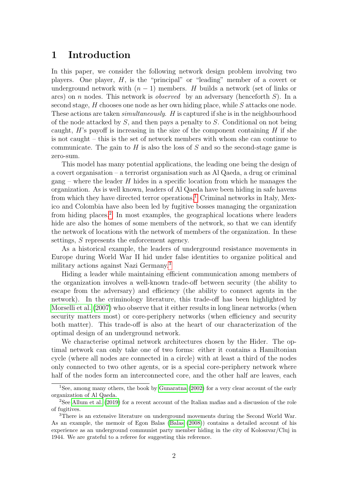### 1 Introduction

In this paper, we consider the following network design problem involving two players. One player, H, is the "principal" or "leading" member of a covert or underground network with  $(n-1)$  members. H builds a network (set of links or arcs) on n nodes. This network is *observed* by an adversary (henceforth S). In a second stage, H chooses one node as her own hiding place, while S attacks one node. These actions are taken simultaneously. H is captured if she is in the neighbourhood of the node attacked by S, and then pays a penalty to S. Conditional on not being caught,  $H$ 's payoff is increasing in the size of the component containing  $H$  if she is not caught – this is the set of network members with whom she can continue to communicate. The gain to  $H$  is also the loss of  $S$  and so the second-stage game is zero-sum.

This model has many potential applications, the leading one being the design of a covert organisation – a terrorist organisation such as Al Qaeda, a drug or criminal gang – where the leader  $H$  hides in a specific location from which he manages the organization. As is well known, leaders of Al Qaeda have been hiding in safe havens from which they have directed terror operations.<sup>[1](#page-1-0)</sup> Criminal networks in Italy, Mexico and Colombia have also been led by fugitive bosses managing the organization from hiding places.<sup>[2](#page-1-1)</sup> In most examples, the geographical locations where leaders hide are also the homes of some members of the network, so that we can identify the network of locations with the network of members of the organization. In these settings, S represents the enforcement agency.

As a historical example, the leaders of underground resistance movements in Europe during World War II hid under false identities to organize political and military actions against Nazi Germany.<sup>[3](#page-1-2)</sup>

Hiding a leader while maintaining efficient communication among members of the organization involves a well-known trade-off between security (the ability to escape from the adversary) and efficiency (the ability to connect agents in the network). In the criminology literature, this trade-off has been highlighted by [Morselli et al.](#page-22-0) [\(2007\)](#page-22-0) who observe that it either results in long linear networks (when security matters most) or core-periphery networks (when efficiency and security both matter). This trade-off is also at the heart of our characterization of the optimal design of an underground network.

We characterise optimal network architectures chosen by the Hider. The optimal network can only take one of two forms: either it contains a Hamiltonian cycle (where all nodes are connected in a circle) with at least a third of the nodes only connected to two other agents, or is a special core-periphery network where half of the nodes form an interconnected core, and the other half are leaves, each

<span id="page-1-0"></span><sup>&</sup>lt;sup>1</sup>See, among many others, the book by [Gunaratna](#page-22-1) [\(2002\)](#page-22-1) for a very clear account of the early organization of Al Qaeda.

<span id="page-1-1"></span><sup>2</sup>See [Allum et al.](#page-22-2) [\(2019\)](#page-22-2) for a recent account of the Italian mafias and a discussion of the role of fugitives.

<span id="page-1-2"></span><sup>&</sup>lt;sup>3</sup>There is an extensive literature on underground movements during the Second World War. As an example, the memoir of Egon Balas [\(Balas](#page-22-3) [\(2008\)](#page-22-3)) contains a detailed account of his experience as an underground communist party member hiding in the city of Koloszvar/Cluj in 1944. We are grateful to a referee for suggesting this reference.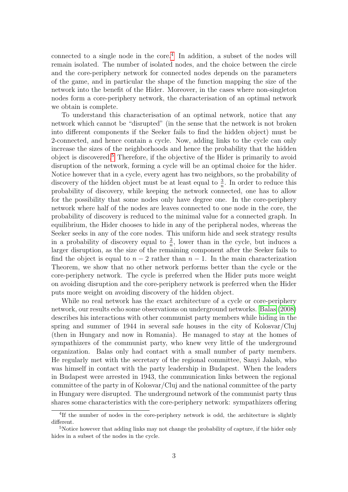connected to a single node in the core.[4](#page-2-0) In addition, a subset of the nodes will remain isolated. The number of isolated nodes, and the choice between the circle and the core-periphery network for connected nodes depends on the parameters of the game, and in particular the shape of the function mapping the size of the network into the benefit of the Hider. Moreover, in the cases where non-singleton nodes form a core-periphery network, the characterisation of an optimal network we obtain is complete.

To understand this characterisation of an optimal network, notice that any network which cannot be "disrupted" (in the sense that the network is not broken into different components if the Seeker fails to find the hidden object) must be 2-connected, and hence contain a cycle. Now, adding links to the cycle can only increase the sizes of the neighborhoods and hence the probability that the hidden object is discovered.[5](#page-2-1) Therefore, if the objective of the Hider is primarily to avoid disruption of the network, forming a cycle will be an optimal choice for the hider. Notice however that in a cycle, every agent has two neighbors, so the probability of discovery of the hidden object must be at least equal to  $\frac{3}{n}$ . In order to reduce this probability of discovery, while keeping the network connected, one has to allow for the possibility that some nodes only have degree one. In the core-periphery network where half of the nodes are leaves connected to one node in the core, the probability of discovery is reduced to the minimal value for a connected graph. In equilibrium, the Hider chooses to hide in any of the peripheral nodes, whereas the Seeker seeks in any of the core nodes. This uniform hide and seek strategy results in a probability of discovery equal to  $\frac{2}{n}$ , lower than in the cycle, but induces a larger disruption, as the size of the remaining component after the Seeker fails to find the object is equal to  $n-2$  rather than  $n-1$ . In the main characterization Theorem, we show that no other network performs better than the cycle or the core-periphery network. The cycle is preferred when the Hider puts more weight on avoiding disruption and the core-periphery network is preferred when the Hider puts more weight on avoiding discovery of the hidden object.

While no real network has the exact architecture of a cycle or core-periphery network, our results echo some observations on underground networks. [Balas](#page-22-3) [\(2008\)](#page-22-3) describes his interactions with other communist party members while hiding in the spring and summer of 1944 in several safe houses in the city of Kolosvar/Cluj (then in Hungary and now in Romania). He managed to stay at the homes of sympathizers of the communist party, who knew very little of the underground organization. Balas only had contact with a small number of party members. He regularly met with the secretary of the regional committee, Sanyi Jakab, who was himself in contact with the party leadership in Budapest. When the leaders in Budapest were arrested in 1943, the communication links between the regional committee of the party in of Kolosvar/Cluj and the national committee of the party in Hungary were disrupted. The underground network of the communist party thus shares some characteristics with the core-periphery network: sympathizers offering

<span id="page-2-0"></span><sup>&</sup>lt;sup>4</sup>If the number of nodes in the core-periphery network is odd, the architecture is slightly different.

<span id="page-2-1"></span><sup>&</sup>lt;sup>5</sup>Notice however that adding links may not change the probability of capture, if the hider only hides in a subset of the nodes in the cycle.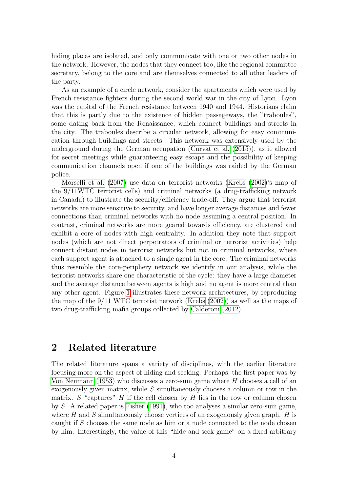hiding places are isolated, and only communicate with one or two other nodes in the network. However, the nodes that they connect too, like the regional committee secretary, belong to the core and are themselves connected to all other leaders of the party.

As an example of a circle network, consider the apartments which were used by French resistance fighters during the second world war in the city of Lyon. Lyon was the capital of the French resistance between 1940 and 1944. Historians claim that this is partly due to the existence of hidden passageways, the "traboules", some dating back from the Renaissance, which connect buildings and streets in the city. The traboules describe a circular network, allowing for easy communication through buildings and streets. This network was extensively used by the underground during the German occupation [\(Curvat et al.](#page-22-4) [\(2015\)](#page-22-4)), as it allowed for secret meetings while guaranteeing easy escape and the possibility of keeping communication channels open if one of the buildings was raided by the German police.

[Morselli et al.](#page-22-0) [\(2007\)](#page-22-0) use data on terrorist networks [\(Krebs](#page-22-5) [\(2002\)](#page-22-5)'s map of the 9/11WTC terrorist cells) and criminal networks (a drug-trafficking network in Canada) to illustrate the security/efficiency trade-off. They argue that terrorist networks are more sensitive to security, and have longer average distances and fewer connections than criminal networks with no node assuming a central position. In contrast, criminal networks are more geared towards efficiency, are clustered and exhibit a core of nodes with high centrality. In addition they note that support nodes (which are not direct perpetrators of criminal or terrorist activities) help connect distant nodes in terrorist networks but not in criminal networks, where each support agent is attached to a single agent in the core. The criminal networks thus resemble the core-periphery network we identify in our analysis, while the terrorist networks share one characteristic of the cycle: they have a large diameter and the average distance between agents is high and no agent is more central than any other agent. Figure [1](#page-4-0) illustrates these network architectures, by reproducing the map of the 9/11 WTC terrorist network [\(Krebs](#page-22-5) [\(2002\)](#page-22-5)) as well as the maps of two drug-trafficking mafia groups collected by [Calderoni](#page-22-6) [\(2012\)](#page-22-6).

### 2 Related literature

The related literature spans a variety of disciplines, with the earlier literature focusing more on the aspect of hiding and seeking. Perhaps, the first paper was by [Von Neumann](#page-22-7) [\(1953\)](#page-22-7) who discusses a zero-sum game where H chooses a cell of an exogenously given matrix, while S simultaneously chooses a column or row in the matrix. S "captures"  $H$  if the cell chosen by  $H$  lies in the row or column chosen by S. A related paper is [Fisher](#page-22-8) [\(1991\)](#page-22-8), who too analyses a similar zero-sum game, where  $H$  and  $S$  simultaneously choose vertices of an exogenously given graph.  $H$  is caught if S chooses the same node as him or a node connected to the node chosen by him. Interestingly, the value of this "hide and seek game" on a fixed arbitrary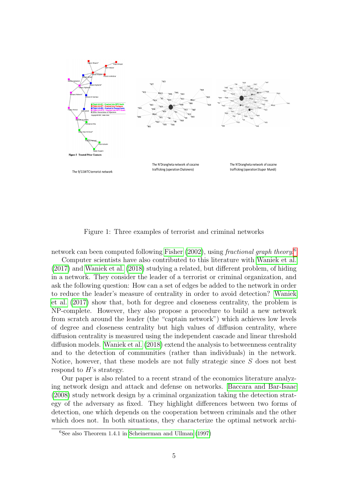

<span id="page-4-0"></span>Figure 1: Three examples of terrorist and criminal networks

network can been computed following [Fisher](#page-22-9) [\(2002\)](#page-22-9), using *fractional graph theory*.<sup>[6](#page-4-1)</sup>

Computer scientists have also contributed to this literature with [Waniek et al.](#page-23-0) [\(2017\)](#page-23-0) and [Waniek et al.](#page-23-1) [\(2018\)](#page-23-1) studying a related, but different problem, of hiding in a network. They consider the leader of a terrorist or criminal organization, and ask the following question: How can a set of edges be added to the network in order to reduce the leader's measure of centrality in order to avoid detection? [Waniek](#page-23-0) [et al.](#page-23-0) [\(2017\)](#page-23-0) show that, both for degree and closeness centrality, the problem is NP-complete. However, they also propose a procedure to build a new network from scratch around the leader (the "captain network") which achieves low levels of degree and closeness centrality but high values of diffusion centrality, where diffusion centrality is measured using the independent cascade and linear threshold diffusion models. [Waniek et al.](#page-23-1) [\(2018\)](#page-23-1) extend the analysis to betweenness centrality and to the detection of communities (rather than individuals) in the network. Notice, however, that these models are not fully strategic since S does not best respond to  $H$ 's strategy.

Our paper is also related to a recent strand of the economics literature analyzing network design and attack and defense on networks. [Baccara and Bar-Isaac](#page-22-10) [\(2008\)](#page-22-10) study network design by a criminal organization taking the detection strategy of the adversary as fixed. They highlight differences between two forms of detection, one which depends on the cooperation between criminals and the other which does not. In both situations, they characterize the optimal network archi-

<span id="page-4-1"></span><sup>6</sup>See also Theorem 1.4.1 in [Scheinerman and Ullman](#page-22-11) [\(1997\)](#page-22-11)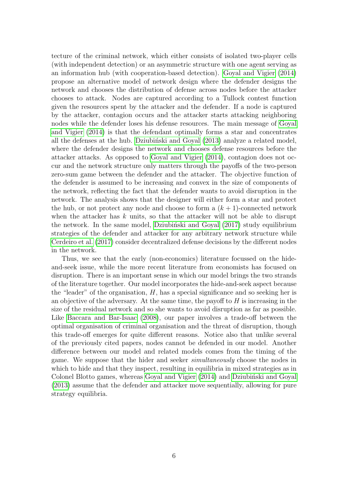tecture of the criminal network, which either consists of isolated two-player cells (with independent detection) or an asymmetric structure with one agent serving as an information hub (with cooperation-based detection). [Goyal and Vigier](#page-22-12) [\(2014\)](#page-22-12) propose an alternative model of network design where the defender designs the network and chooses the distribution of defense across nodes before the attacker chooses to attack. Nodes are captured according to a Tullock contest function given the resources spent by the attacker and the defender. If a node is captured by the attacker, contagion occurs and the attacker starts attacking neighboring nodes while the defender loses his defense resources. The main message of [Goyal](#page-22-12) [and Vigier](#page-22-12) [\(2014\)](#page-22-12) is that the defendant optimally forms a star and concentrates all the defenses at the hub. Dziubinski and Goyal  $(2013)$  analyze a related model, where the defender designs the network and chooses defense resources before the attacker attacks. As opposed to [Goyal and Vigier](#page-22-12) [\(2014\)](#page-22-12), contagion does not occur and the network structure only matters through the payoffs of the two-person zero-sum game between the defender and the attacker. The objective function of the defender is assumed to be increasing and convex in the size of components of the network, reflecting the fact that the defender wants to avoid disruption in the network. The analysis shows that the designer will either form a star and protect the hub, or not protect any node and choose to form a  $(k + 1)$ -connected network when the attacker has  $k$  units, so that the attacker will not be able to disrupt the network. In the same model, Dziubinski and Goyal  $(2017)$  study equilibrium strategies of the defender and attacker for any arbitrary network structure while [Cerdeiro et al.](#page-22-15) [\(2017\)](#page-22-15) consider decentralized defense decisions by the different nodes in the network.

Thus, we see that the early (non-economics) literature focussed on the hideand-seek issue, while the more recent literature from economists has focused on disruption. There is an important sense in which our model brings the two strands of the literature together. Our model incorporates the hide-and-seek aspect because the "leader" of the organisation,  $H$ , has a special significance and so seeking her is an objective of the adversary. At the same time, the payoff to  $H$  is increasing in the size of the residual network and so she wants to avoid disruption as far as possible. Like [Baccara and Bar-Isaac](#page-22-10) [\(2008\)](#page-22-10), our paper involves a trade-off between the optimal organisation of criminal organisation and the threat of disruption, though this trade-off emerges for quite different reasons. Notice also that unlike several of the previously cited papers, nodes cannot be defended in our model. Another difference between our model and related models comes from the timing of the game. We suppose that the hider and seeker simultaneously choose the nodes in which to hide and that they inspect, resulting in equilibria in mixed strategies as in Colonel Blotto games, whereas [Goyal and Vigier](#page-22-12) [\(2014\)](#page-22-12) and Dziubinski and Goyal [\(2013\)](#page-22-13) assume that the defender and attacker move sequentially, allowing for pure strategy equilibria.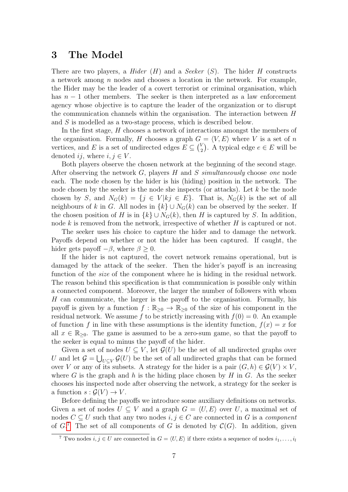### 3 The Model

There are two players, a *Hider*  $(H)$  and a *Seeker*  $(S)$ . The hider H constructs a network among n nodes and chooses a location in the network. For example, the Hider may be the leader of a covert terrorist or criminal organisation, which has  $n-1$  other members. The seeker is then interpreted as a law enforcement agency whose objective is to capture the leader of the organization or to disrupt the communication channels within the organisation. The interaction between H and S is modelled as a two-stage process, which is described below.

In the first stage, H chooses a network of interactions amongst the members of the organisation. Formally, H chooses a graph  $G = \langle V, E \rangle$  where V is a set of n vertices, and E is a set of undirected edges  $E \subseteq {V_2 \choose 2}$  $\binom{V}{2}$ . A typical edge  $e \in E$  will be denoted ij, where  $i, j \in V$ .

Both players observe the chosen network at the beginning of the second stage. After observing the network  $G$ , players  $H$  and  $S$  simultaneously choose one node each. The node chosen by the hider is his (hiding) position in the network. The node chosen by the seeker is the node she inspects (or attacks). Let  $k$  be the node chosen by S, and  $N_G(k) = \{j \in V | kj \in E\}$ . That is,  $N_G(k)$  is the set of all neighbours of k in G. All nodes in  $\{k\} \cup N_G(k)$  can be observed by the seeker. If the chosen position of H is in  $\{k\} \cup N_G(k)$ , then H is captured by S. In addition, node k is removed from the network, irrespective of whether  $H$  is captured or not.

The seeker uses his choice to capture the hider and to damage the network. Payoffs depend on whether or not the hider has been captured. If caught, the hider gets payoff  $-\beta$ , where  $\beta \geq 0$ .

If the hider is not captured, the covert network remains operational, but is damaged by the attack of the seeker. Then the hider's payoff is an increasing function of the *size* of the component where he is hiding in the residual network. The reason behind this specification is that communication is possible only within a connected component. Moreover, the larger the number of followers with whom  $H$  can communicate, the larger is the payoff to the organisation. Formally, his payoff is given by a function  $f : \mathbb{R}_{\geq 0} \to \mathbb{R}_{\geq 0}$  of the size of his component in the residual network. We assume f to be strictly increasing with  $f(0) = 0$ . An example of function f in line with these assumptions is the identity function,  $f(x) = x$  for all  $x \in \mathbb{R}_{\geq 0}$ . The game is assumed to be a zero-sum game, so that the payoff to the seeker is equal to minus the payoff of the hider.

Given a set of nodes  $U \subseteq V$ , let  $\mathcal{G}(U)$  be the set of all undirected graphs over U and let  $\mathcal{G} = \bigcup_{U \subseteq V} \mathcal{G}(U)$  be the set of all undirected graphs that can be formed over V or any of its subsets. A strategy for the hider is a pair  $(G, h) \in \mathcal{G}(V) \times V$ , where G is the graph and h is the hiding place chosen by H in G. As the seeker chooses his inspected node after observing the network, a strategy for the seeker is a function  $s : \mathcal{G}(V) \to V$ .

Before defining the payoffs we introduce some auxiliary definitions on networks. Given a set of nodes  $U \subseteq V$  and a graph  $G = \langle U, E \rangle$  over U, a maximal set of nodes  $C \subseteq U$  such that any two nodes  $i, j \in C$  are connected in G is a *component* of  $G<sup>7</sup>$  $G<sup>7</sup>$  $G<sup>7</sup>$ . The set of all components of G is denoted by  $\mathcal{C}(G)$ . In addition, given

<span id="page-6-0"></span><sup>&</sup>lt;sup>7</sup> Two nodes  $i, j \in U$  are connected in  $G = \langle U, E \rangle$  if there exists a sequence of nodes  $i_1, \ldots, i_l$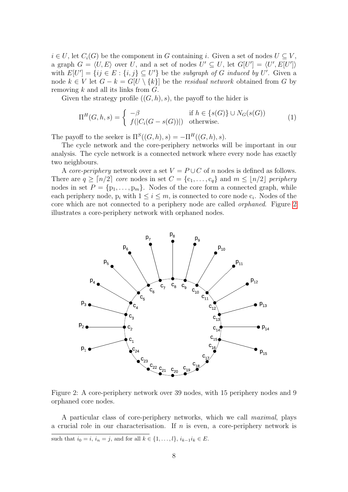$i \in U$ , let  $C_i(G)$  be the component in G containing i. Given a set of nodes  $U \subseteq V$ , a graph  $G = \langle U, E \rangle$  over U, and a set of nodes  $U' \subseteq U$ , let  $G[U'] = \langle U', E[U'] \rangle$ with  $E[U'] = \{ij \in E : \{i, j\} \subseteq U'\}$  be the subgraph of G induced by U'. Given a node  $k \in V$  let  $G - k = G[U \setminus \{k\}]$  be the *residual network* obtained from G by removing  $k$  and all its links from  $G$ .

Given the strategy profile  $((G, h), s)$ , the payoff to the hider is

$$
\Pi^H(G, h, s) = \begin{cases}\n-\beta & \text{if } h \in \{s(G)\} \cup N_G(s(G)) \\
f(|C_i(G - s(G))|) & \text{otherwise.} \n\end{cases}
$$
\n(1)

The payoff to the seeker is  $\Pi^S((G,h),s) = -\Pi^H((G,h),s)$ .

The cycle network and the core-periphery networks will be important in our analysis. The cycle network is a connected network where every node has exactly two neighbours.

A core-periphery network over a set  $V = P \cup C$  of n nodes is defined as follows. There are  $q \geq \lceil n/2 \rceil$  core nodes in set  $C = \{c_1, \ldots, c_q\}$  and  $m \leq \lfloor n/2 \rfloor$  periphery nodes in set  $P = \{p_1, \ldots, p_m\}$ . Nodes of the core form a connected graph, while each periphery node,  $p_i$  with  $1 \leq i \leq m$ , is connected to core node  $c_i$ . Nodes of the core which are not connected to a periphery node are called orphaned. Figure [2](#page-7-0) illustrates a core-periphery network with orphaned nodes.

![](_page_7_Figure_6.jpeg)

<span id="page-7-0"></span>Figure 2: A core-periphery network over 39 nodes, with 15 periphery nodes and 9 orphaned core nodes.

A particular class of core-periphery networks, which we call maximal, plays a crucial role in our characterisation. If  $n$  is even, a core-periphery network is such that  $i_0 = i$ ,  $i_n = j$ , and for all  $k \in \{1, ..., l\}$ ,  $i_{k-1}i_k \in E$ .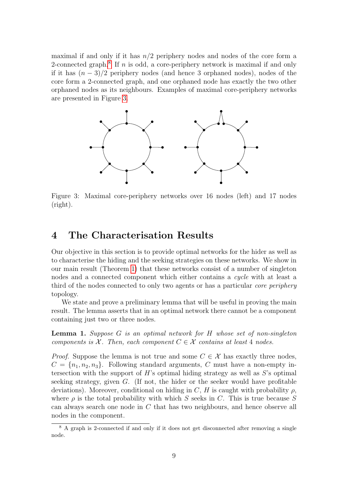maximal if and only if it has  $n/2$  periphery nodes and nodes of the core form a 2-connected graph.<sup>[8](#page-8-0)</sup> If *n* is odd, a core-periphery network is maximal if and only if it has  $(n-3)/2$  periphery nodes (and hence 3 orphaned nodes), nodes of the core form a 2-connected graph, and one orphaned node has exactly the two other orphaned nodes as its neighbours. Examples of maximal core-periphery networks are presented in Figure [3.](#page-8-1)

![](_page_8_Figure_1.jpeg)

<span id="page-8-1"></span>Figure 3: Maximal core-periphery networks over 16 nodes (left) and 17 nodes (right).

### 4 The Characterisation Results

Our objective in this section is to provide optimal networks for the hider as well as to characterise the hiding and the seeking strategies on these networks. We show in our main result (Theorem [1\)](#page-16-0) that these networks consist of a number of singleton nodes and a connected component which either contains a cycle with at least a third of the nodes connected to only two agents or has a particular core periphery topology.

We state and prove a preliminary lemma that will be useful in proving the main result. The lemma asserts that in an optimal network there cannot be a component containing just two or three nodes.

<span id="page-8-2"></span>Lemma 1. Suppose G is an optimal network for H whose set of non-singleton components is  $X$ . Then, each component  $C \in \mathcal{X}$  contains at least 4 nodes.

*Proof.* Suppose the lemma is not true and some  $C \in \mathcal{X}$  has exactly three nodes,  $C = \{n_1, n_2, n_3\}$ . Following standard arguments, C must have a non-empty intersection with the support of  $H$ 's optimal hiding strategy as well as  $S$ 's optimal seeking strategy, given  $G$ . (If not, the hider or the seeker would have profitable deviations). Moreover, conditional on hiding in C, H is caught with probability  $\rho$ , where  $\rho$  is the total probability with which S seeks in C. This is true because S can always search one node in C that has two neighbours, and hence observe all nodes in the component.

<span id="page-8-0"></span><sup>8</sup> A graph is 2-connected if and only if it does not get disconnected after removing a single node.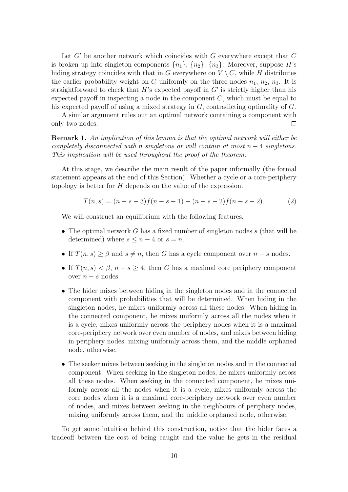Let  $G'$  be another network which coincides with  $G$  everywhere except that  $C$ is broken up into singleton components  $\{n_1\}$ ,  $\{n_2\}$ ,  $\{n_3\}$ . Moreover, suppose H's hiding strategy coincides with that in G everywhere on  $V \setminus C$ , while H distributes the earlier probability weight on C uniformly on the three nodes  $n_1$ ,  $n_2$ ,  $n_3$ . It is straightforward to check that  $H$ 's expected payoff in  $G'$  is strictly higher than his expected payoff in inspecting a node in the component  $C$ , which must be equal to his expected payoff of using a mixed strategy in G, contradicting optimality of G.

A similar argument rules out an optimal network containing a component with only two nodes.  $\Box$ 

Remark 1. An implication of this lemma is that the optimal network will either be completely disconnected with n singletons or will contain at most  $n-4$  singletons. This implication will be used throughout the proof of the theorem.

At this stage, we describe the main result of the paper informally (the formal statement appears at the end of this Section). Whether a cycle or a core-periphery topology is better for H depends on the value of the expression.

$$
T(n,s) = (n-s-3)f(n-s-1) - (n-s-2)f(n-s-2). \tag{2}
$$

We will construct an equilibrium with the following features.

- The optimal network G has a fixed number of singleton nodes  $s$  (that will be determined) where  $s \leq n-4$  or  $s = n$ .
- If  $T(n, s) \geq \beta$  and  $s \neq n$ , then G has a cycle component over  $n s$  nodes.
- If  $T(n, s) < \beta$ ,  $n s \geq 4$ , then G has a maximal core periphery component over  $n - s$  nodes.
- The hider mixes between hiding in the singleton nodes and in the connected component with probabilities that will be determined. When hiding in the singleton nodes, he mixes uniformly across all these nodes. When hiding in the connected component, he mixes uniformly across all the nodes when it is a cycle, mixes uniformly across the periphery nodes when it is a maximal core-periphery network over even number of nodes, and mixes between hiding in periphery nodes, mixing uniformly across them, and the middle orphaned node, otherwise.
- The seeker mixes between seeking in the singleton nodes and in the connected component. When seeking in the singleton nodes, he mixes uniformly across all these nodes. When seeking in the connected component, he mixes uniformly across all the nodes when it is a cycle, mixes uniformly across the core nodes when it is a maximal core-periphery network over even number of nodes, and mixes between seeking in the neighbours of periphery nodes, mixing uniformly across them, and the middle orphaned node, otherwise.

To get some intuition behind this construction, notice that the hider faces a tradeoff between the cost of being caught and the value he gets in the residual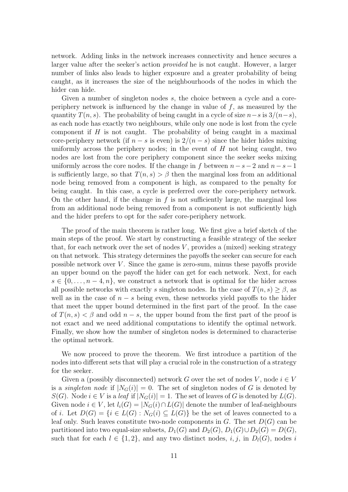network. Adding links in the network increases connectivity and hence secures a larger value after the seeker's action provided he is not caught. However, a larger number of links also leads to higher exposure and a greater probability of being caught, as it increases the size of the neighbourhoods of the nodes in which the hider can hide.

Given a number of singleton nodes s, the choice between a cycle and a coreperiphery network is influenced by the change in value of  $f$ , as measured by the quantity  $T(n, s)$ . The probability of being caught in a cycle of size  $n-s$  is  $3/(n-s)$ , as each node has exactly two neighbours, while only one node is lost from the cycle component if  $H$  is not caught. The probability of being caught in a maximal core-periphery network (if  $n - s$  is even) is  $2/(n - s)$  since the hider hides mixing uniformly across the periphery nodes; in the event of  $H$  not being caught, two nodes are lost from the core periphery component since the seeker seeks mixing uniformly across the core nodes. If the change in f between  $n-s-2$  and  $n-s-1$ is sufficiently large, so that  $T(n, s) > \beta$  then the marginal loss from an additional node being removed from a component is high, as compared to the penalty for being caught. In this case, a cycle is preferred over the core-periphery network. On the other hand, if the change in  $f$  is not sufficiently large, the marginal loss from an additional node being removed from a component is not sufficiently high and the hider prefers to opt for the safer core-periphery network.

The proof of the main theorem is rather long. We first give a brief sketch of the main steps of the proof. We start by constructing a feasible strategy of the seeker that, for each network over the set of nodes  $V$ , provides a (mixed) seeking strategy on that network. This strategy determines the payoffs the seeker can secure for each possible network over  $V$ . Since the game is zero-sum, minus these payoffs provide an upper bound on the payoff the hider can get for each network. Next, for each  $s \in \{0, \ldots, n-4, n\}$ , we construct a network that is optimal for the hider across all possible networks with exactly s singleton nodes. In the case of  $T(n, s) \geq \beta$ , as well as in the case of  $n - s$  being even, these networks yield payoffs to the hider that meet the upper bound determined in the first part of the proof. In the case of  $T(n, s) < \beta$  and odd  $n - s$ , the upper bound from the first part of the proof is not exact and we need additional computations to identify the optimal network. Finally, we show how the number of singleton nodes is determined to characterise the optimal network.

We now proceed to prove the theorem. We first introduce a partition of the nodes into different sets that will play a crucial role in the construction of a strategy for the seeker.

Given a (possibly disconnected) network G over the set of nodes V, node  $i \in V$ is a *singleton node* if  $|N_G(i)| = 0$ . The set of singleton nodes of G is denoted by  $S(G)$ . Node  $i \in V$  is a leaf if  $|N_G(i)| = 1$ . The set of leaves of G is denoted by  $L(G)$ . Given node  $i \in V$ , let  $l_i(G) = |N_G(i) \cap L(G)|$  denote the number of leaf-neighbours of i. Let  $D(G) = \{i \in L(G) : N_G(i) \subseteq L(G)\}\$ be the set of leaves connected to a leaf only. Such leaves constitute two-node components in  $G$ . The set  $D(G)$  can be partitioned into two equal-size subsets,  $D_1(G)$  and  $D_2(G)$ ,  $D_1(G) \cup D_2(G) = D(G)$ , such that for each  $l \in \{1,2\}$ , and any two distinct nodes, i, j, in  $D_l(G)$ , nodes i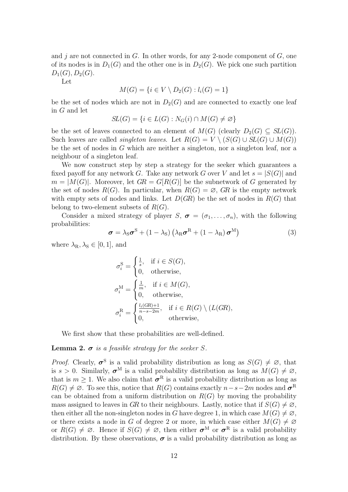and  $j$  are not connected in  $G$ . In other words, for any 2-node component of  $G$ , one of its nodes is in  $D_1(G)$  and the other one is in  $D_2(G)$ . We pick one such partition  $D_1(G), D_2(G)$ .

Let

$$
M(G) = \{ i \in V \setminus D_2(G) : l_i(G) = 1 \}
$$

be the set of nodes which are not in  $D_2(G)$  and are connected to exactly one leaf in G and let

$$
SL(G) = \{ i \in L(G) : N_G(i) \cap M(G) \neq \varnothing \}
$$

be the set of leaves connected to an element of  $M(G)$  (clearly  $D_2(G) \subseteq SL(G)$ ). Such leaves are called *singleton leaves*. Let  $R(G) = V \setminus (S(G) \cup SL(G) \cup M(G))$ be the set of nodes in G which are neither a singleton, nor a singleton leaf, nor a neighbour of a singleton leaf.

We now construct step by step a strategy for the seeker which guarantees a fixed payoff for any network G. Take any network G over V and let  $s = |S(G)|$  and  $m = |M(G)|$ . Moreover, let  $GR = G[R(G)]$  be the subnetwork of G generated by the set of nodes  $R(G)$ . In particular, when  $R(G) = \emptyset$ , GR is the empty network with empty sets of nodes and links. Let  $D(GR)$  be the set of nodes in  $R(G)$  that belong to two-element subsets of  $R(G)$ .

Consider a mixed strategy of player S,  $\sigma = (\sigma_1, \ldots, \sigma_n)$ , with the following probabilities:

$$
\boldsymbol{\sigma} = \lambda_{\rm S} \boldsymbol{\sigma}^{\rm S} + (1 - \lambda_{\rm S}) \left( \lambda_{\rm R} \boldsymbol{\sigma}^{\rm R} + (1 - \lambda_{\rm R}) \boldsymbol{\sigma}^{\rm M} \right) \tag{3}
$$

where  $\lambda_{\rm R}, \lambda_{\rm S} \in [0,1]$ , and

$$
\sigma_i^{\mathcal{S}} = \begin{cases} \frac{1}{s}, & \text{if } i \in S(G), \\ 0, & \text{otherwise,} \end{cases}
$$

$$
\sigma_i^{\mathcal{M}} = \begin{cases} \frac{1}{m}, & \text{if } i \in M(G), \\ 0, & \text{otherwise,} \end{cases}
$$

$$
\sigma_i^{\mathcal{R}} = \begin{cases} \frac{l_i(GR) + 1}{n - s - 2m}, & \text{if } i \in R(G) \setminus (L(GR), \\ 0, & \text{otherwise,} \end{cases}
$$

We first show that these probabilities are well-defined.

#### **Lemma 2.**  $\sigma$  is a feasible strategy for the seeker S.

*Proof.* Clearly,  $\sigma^S$  is a valid probability distribution as long as  $S(G) \neq \emptyset$ , that is  $s > 0$ . Similarly,  $\sigma^M$  is a valid probability distribution as long as  $M(G) \neq \emptyset$ , that is  $m \geq 1$ . We also claim that  $\sigma^R$  is a valid probability distribution as long as  $R(G) \neq \emptyset$ . To see this, notice that  $R(G)$  contains exactly  $n-s-2m$  nodes and  $\sigma^R$ can be obtained from a uniform distribution on  $R(G)$  by moving the probability mass assigned to leaves in GR to their neighbours. Lastly, notice that if  $S(G) \neq \emptyset$ , then either all the non-singleton nodes in G have degree 1, in which case  $M(G) \neq \emptyset$ , or there exists a node in G of degree 2 or more, in which case either  $M(G) \neq \emptyset$ or  $R(G) \neq \emptyset$ . Hence if  $S(G) \neq \emptyset$ , then either  $\sigma^M$  or  $\sigma^R$  is a valid probability distribution. By these observations,  $\sigma$  is a valid probability distribution as long as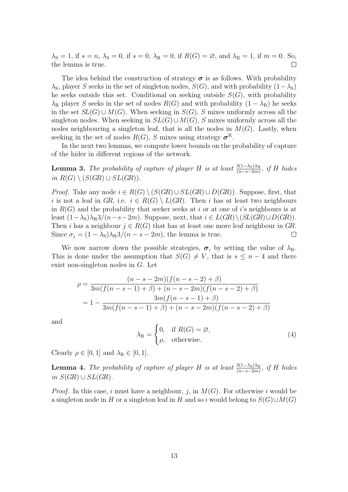$\lambda_{\rm S} = 1$ , if  $s = n$ ,  $\lambda_{\rm S} = 0$ , if  $s = 0$ ,  $\lambda_{\rm R} = 0$ , if  $R(G) = \emptyset$ , and  $\lambda_{\rm R} = 1$ , if  $m = 0$ . So, the lemma is true.  $\Box$ 

The idea behind the construction of strategy  $\sigma$  is as follows. With probability  $\lambda_{\rm S}$ , player S seeks in the set of singleton nodes,  $S(G)$ , and with probability  $(1-\lambda_{\rm S})$ he seeks outside this set. Conditional on seeking outside  $S(G)$ , with probability  $\lambda_R$  player S seeks in the set of nodes  $R(G)$  and with probability  $(1 - \lambda_R)$  he seeks in the set  $SL(G) \cup M(G)$ . When seeking in  $S(G)$ , S mixes uniformly across all the singleton nodes. When seeking in  $SL(G) \cup M(G)$ , S mixes uniformly across all the nodes neighbouring a singleton leaf, that is all the nodes in  $M(G)$ . Lastly, when seeking in the set of nodes  $R(G)$ , S mixes using strategy  $\sigma^R$ .

In the next two lemmas, we compute lower bounds on the probability of capture of the hider in different regions of the network.

<span id="page-12-0"></span>**Lemma 3.** The probability of capture of player H is at least  $\frac{3(1-\lambda_{\rm S})\lambda_{\rm R}}{(n-s-2m)}$ , if H hides in  $R(G) \setminus (S(GR) \cup SL(GR)).$ 

*Proof.* Take any node  $i \in R(G) \setminus (S(GR) \cup SL(GR) \cup D(GR))$ . Suppose, first, that i is not a leaf in GR, i.e.  $i \in R(G) \setminus L(GR)$ . Then i has at least two neighbours in  $R(G)$  and the probability that seeker seeks at i or at one of i's neighbours is at least  $(1-\lambda_S)\lambda_R3/(n-s-2m)$ . Suppose, next, that  $i \in L(GR) \setminus (SL(GR) \cup D(GR))$ . Then i has a neighbour  $j \in R(G)$  that has at least one more leaf neighbour in GR. Since  $\sigma_j = (1 - \lambda_s) \lambda_R^2 / (n - s - 2m)$ , the lemma is true.  $\Box$ 

We now narrow down the possible strategies,  $\sigma$ , by setting the value of  $\lambda_{\rm R}$ . This is done under the assumption that  $S(G) \neq V$ , that is  $s \leq n-4$  and there exist non-singleton nodes in G. Let

$$
\rho = \frac{(n-s-2m)(f(n-s-2)+\beta)}{3m(f(n-s-1)+\beta) + (n-s-2m)(f(n-s-2)+\beta)}
$$
  
=  $1 - \frac{3m(f(n-s-1)+\beta)}{3m(f(n-s-1)+\beta) + (n-s-2m)(f(n-s-2)+\beta)}$ 

and

<span id="page-12-2"></span>
$$
\lambda_{\mathcal{R}} = \begin{cases} 0, & \text{if } R(G) = \varnothing, \\ \rho, & \text{otherwise.} \end{cases}
$$
 (4)

Clearly  $\rho \in [0, 1]$  and  $\lambda_R \in [0, 1]$ .

<span id="page-12-1"></span>**Lemma 4.** The probability of capture of player H is at least  $\frac{3(1-\lambda_S)\lambda_R}{(n-s-2m)}$ , if H hides in  $S(GR) \cup SL(GR)$ .

*Proof.* In this case, i must have a neighbour, j, in  $M(G)$ . For otherwise i would be a singleton node in H or a singleton leaf in H and so i would belong to  $S(G) \cup M(G)$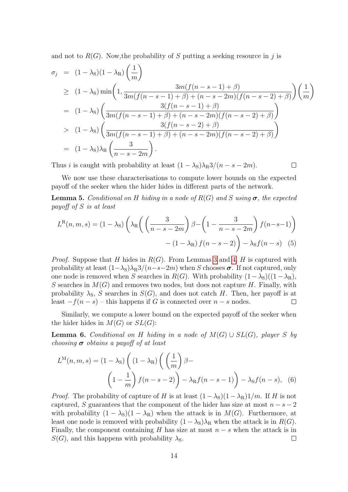and not to  $R(G)$ . Now, the probability of S putting a seeking resource in j is

$$
\sigma_j = (1 - \lambda_S)(1 - \lambda_R) \left(\frac{1}{m}\right)
$$
  
\n
$$
\geq (1 - \lambda_S) \min\left(1, \frac{3m(f(n - s - 1) + \beta)}{3m(f(n - s - 1) + \beta) + (n - s - 2m)(f(n - s - 2) + \beta)}\right) \left(\frac{1}{m}\right)
$$
  
\n
$$
= (1 - \lambda_S) \left(\frac{3(f(n - s - 1) + \beta)}{3m(f(n - s - 1) + \beta) + (n - s - 2m)(f(n - s - 2) + \beta)}\right)
$$
  
\n
$$
> (1 - \lambda_S) \left(\frac{3(f(n - s - 2) + \beta)}{3m(f(n - s - 1) + \beta) + (n - s - 2m)(f(n - s - 2) + \beta)}\right)
$$
  
\n
$$
= (1 - \lambda_S) \lambda_R \left(\frac{3}{n - s - 2m}\right).
$$

Thus i is caught with probability at least  $(1 - \lambda_s)\lambda_R 3/(n - s - 2m)$ .  $\Box$ 

We now use these characterisations to compute lower bounds on the expected payoff of the seeker when the hider hides in different parts of the network.

**Lemma 5.** Conditional on H hiding in a node of  $R(G)$  and S using  $\sigma$ , the expected payoff of S is at least

$$
L^{R}(n, m, s) = (1 - \lambda_{S}) \left( \lambda_{R} \left( \left( \frac{3}{n - s - 2m} \right) \beta - \left( 1 - \frac{3}{n - s - 2m} \right) f(n - s - 1) \right) - (1 - \lambda_{R}) f(n - s - 2) \right) - \lambda_{S} f(n - s) \quad (5)
$$

*Proof.* Suppose that H hides in  $R(G)$ . From Lemmas [3](#page-12-0) and [4,](#page-12-1) H is captured with probability at least  $(1-\lambda_s)\lambda_B 3/(n-s-2m)$  when S chooses  $\sigma$ . If not captured, only one node is removed when S searches in  $R(G)$ . With probability  $(1-\lambda_S)((1-\lambda_R),$ S searches in  $M(G)$  and removes two nodes, but does not capture H. Finally, with probability  $\lambda_{\rm S}$ , S searches in  $S(G)$ , and does not catch H. Then, her payoff is at least  $-f(n-s)$  – this happens if G is connected over  $n-s$  nodes.  $\Box$ 

Similarly, we compute a lower bound on the expected payoff of the seeker when the hider hides in  $M(G)$  or  $SL(G)$ :

**Lemma 6.** Conditional on H hiding in a node of  $M(G) \cup SL(G)$ , player S by choosing  $\sigma$  obtains a payoff of at least

<span id="page-13-0"></span>
$$
L^{\mathcal{M}}(n, m, s) = (1 - \lambda_{\mathcal{S}}) \left( (1 - \lambda_{\mathcal{R}}) \left( \left( \frac{1}{m} \right) \beta - \left( 1 - \frac{1}{m} \right) f(n - s - 2) \right) - \lambda_{\mathcal{R}} f(n - s - 1) \right) - \lambda_{\mathcal{S}} f(n - s), \quad (6)
$$

*Proof.* The probability of capture of H is at least  $(1 - \lambda_S)(1 - \lambda_R)1/m$ . If H is not captured, S guarantees that the component of the hider has size at most  $n - s - 2$ with probability  $(1 - \lambda_S)(1 - \lambda_R)$  when the attack is in  $M(G)$ . Furthermore, at least one node is removed with probability  $(1 - \lambda_s)\lambda_R$  when the attack is in  $R(G)$ . Finally, the component containing H has size at most  $n - s$  when the attack is in  $S(G)$ , and this happens with probability  $\lambda_{\rm S}$ .  $\Box$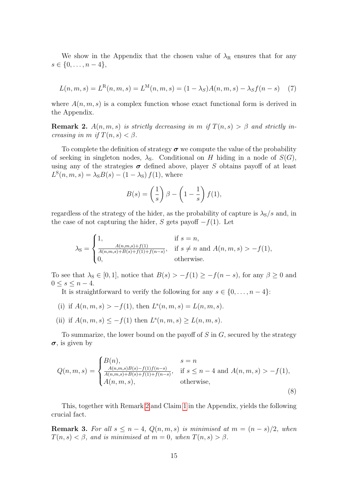We show in the Appendix that the chosen value of  $\lambda_R$  ensures that for any  $s \in \{0, \ldots, n-4\},\$ 

<span id="page-14-2"></span>
$$
L(n, m, s) = L^{R}(n, m, s) = L^{M}(n, m, s) = (1 - \lambda_{S})A(n, m, s) - \lambda_{S}f(n - s)
$$
 (7)

where  $A(n, m, s)$  is a complex function whose exact functional form is derived in the Appendix.

<span id="page-14-0"></span>**Remark 2.**  $A(n, m, s)$  is strictly decreasing in m if  $T(n, s) > \beta$  and strictly increasing in m if  $T(n, s) < \beta$ .

To complete the definition of strategy  $\sigma$  we compute the value of the probability of seeking in singleton nodes,  $\lambda_{S}$ . Conditional on H hiding in a node of  $S(G)$ , using any of the strategies  $\sigma$  defined above, player S obtains payoff of at least  $L^{S}(n, m, s) = \lambda_{S}B(s) - (1 - \lambda_{S}) f(1)$ , where

$$
B(s) = \left(\frac{1}{s}\right)\beta - \left(1 - \frac{1}{s}\right)f(1),
$$

regardless of the strategy of the hider, as the probability of capture is  $\lambda_{\rm S}/s$  and, in the case of not capturing the hider, S gets payoff  $-f(1)$ . Let

$$
\lambda_{\mathcal{S}} = \begin{cases} 1, & \text{if } s = n, \\ \frac{A(n,m,s) + f(1)}{A(n,m,s) + B(s) + f(1) + f(n-s)}, & \text{if } s \neq n \text{ and } A(n,m,s) > -f(1), \\ 0, & \text{otherwise.} \end{cases}
$$

To see that  $\lambda_s \in [0,1]$ , notice that  $B(s) > -f(1) \geq -f(n-s)$ , for any  $\beta \geq 0$  and  $0 \leq s \leq n-4$ .

It is straightforward to verify the following for any  $s \in \{0, \ldots, n-4\}$ :

- (i) if  $A(n, m, s) > -f(1)$ , then  $L^{s}(n, m, s) = L(n, m, s)$ .
- (ii) if  $A(n, m, s) \leq -f(1)$  then  $L^{s}(n, m, s) \geq L(n, m, s)$ .

To summarize, the lower bound on the payoff of  $S$  in  $G$ , secured by the strategy  $\sigma$ , is given by

$$
Q(n, m, s) = \begin{cases} B(n), & s = n \\ \frac{A(n, m, s)B(s) - f(1)f(n - s)}{A(n, m, s) + B(s) + f(1) + f(n - s)}, & \text{if } s \le n - 4 \text{ and } A(n, m, s) > -f(1), \\ A(n, m, s), & \text{otherwise,} \end{cases}
$$
(8)

This, together with Remark [2](#page-14-0) and Claim [1](#page-28-0) in the Appendix, yields the following crucial fact.

<span id="page-14-1"></span>**Remark 3.** For all  $s \leq n-4$ ,  $Q(n, m, s)$  is minimised at  $m = (n - s)/2$ , when  $T(n, s) < \beta$ , and is minimised at  $m = 0$ , when  $T(n, s) > \beta$ .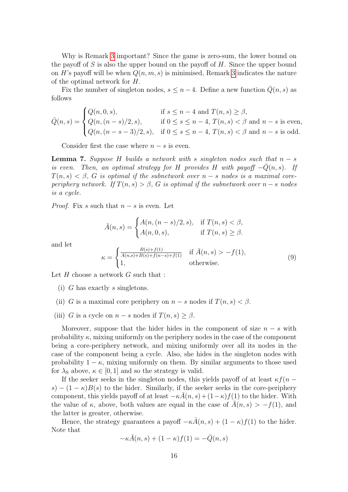Why is Remark [3](#page-14-1) important? Since the game is zero-sum, the lower bound on the payoff of S is also the upper bound on the payoff of  $H$ . Since the upper bound on H's payoff will be when  $Q(n, m, s)$  is minimised, Remark [3](#page-14-1) indicates the nature of the optimal network for H.

Fix the number of singleton nodes,  $s \leq n-4$ . Define a new function  $Q(n, s)$  as follows

$$
\bar{Q}(n,s) = \begin{cases}\nQ(n,0,s), & \text{if } s \le n-4 \text{ and } T(n,s) \ge \beta, \\
Q(n,(n-s)/2,s), & \text{if } 0 \le s \le n-4, \ T(n,s) < \beta \text{ and } n-s \text{ is even,} \\
Q(n,(n-s-3)/2,s), & \text{if } 0 \le s \le n-4, \ T(n,s) < \beta \text{ and } n-s \text{ is odd.}\n\end{cases}
$$

Consider first the case where  $n - s$  is even.

<span id="page-15-0"></span>**Lemma 7.** Suppose H builds a network with s singleton nodes such that  $n - s$ is even. Then, an optimal strategy for H provides H with payoff  $-\overline{Q}(n, s)$ . If  $T(n, s) < \beta$ , G is optimal if the subnetwork over  $n - s$  nodes is a maximal coreperiphery network. If  $T(n, s) > \beta$ , G is optimal if the subnetwork over  $n - s$  nodes is a cycle.

*Proof.* Fix s such that  $n - s$  is even. Let

$$
\bar{A}(n,s) = \begin{cases} A(n,(n-s)/2,s), & \text{if } T(n,s) < \beta, \\ A(n,0,s), & \text{if } T(n,s) \ge \beta. \end{cases}
$$

and let

<span id="page-15-1"></span>
$$
\kappa = \begin{cases} \frac{B(s) + f(1)}{\bar{A}(n,s) + B(s) + f(n-s) + f(1)} & \text{if } \bar{A}(n,s) > -f(1), \\ 1, & \text{otherwise.} \end{cases} \tag{9}
$$

Let  $H$  choose a network  $G$  such that :

- (i) G has exactly s singletons.
- (ii) G is a maximal core periphery on  $n s$  nodes if  $T(n, s) < \beta$ .
- (iii) G is a cycle on  $n s$  nodes if  $T(n, s) \geq \beta$ .

Moreover, suppose that the hider hides in the component of size  $n - s$  with probability  $\kappa$ , mixing uniformly on the periphery nodes in the case of the component being a core-periphery network, and mixing uniformly over all its nodes in the case of the component being a cycle. Also, she hides in the singleton nodes with probability  $1 - \kappa$ , mixing uniformly on them. By similar arguments to those used for  $\lambda_{\rm S}$  above,  $\kappa \in [0,1]$  and so the strategy is valid.

If the seeker seeks in the singleton nodes, this yields payoff of at least  $\kappa f(n$ s) − (1 −  $\kappa$ ) $B(s)$  to the hider. Similarly, if the seeker seeks in the core-periphery component, this yields payoff of at least  $-\kappa A(n, s) + (1-\kappa) f(1)$  to the hider. With the value of  $\kappa$ , above, both values are equal in the case of  $\bar{A}(n, s) > -f(1)$ , and the latter is greater, otherwise.

Hence, the strategy guarantees a payoff  $-\kappa \bar{A}(n, s) + (1 - \kappa)f(1)$  to the hider. Note that

$$
-\kappa \bar{A}(n,s) + (1-\kappa) f(1) = -\bar{Q}(n,s)
$$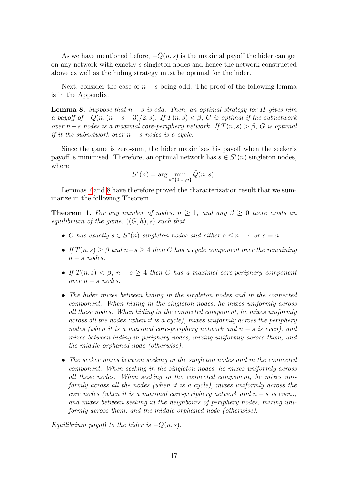As we have mentioned before,  $-\overline{Q}(n, s)$  is the maximal payoff the hider can get on any network with exactly s singleton nodes and hence the network constructed above as well as the hiding strategy must be optimal for the hider.  $\Box$ 

Next, consider the case of  $n - s$  being odd. The proof of the following lemma is in the Appendix.

<span id="page-16-1"></span>**Lemma 8.** Suppose that  $n - s$  is odd. Then, an optimal strategy for H gives him a payoff of  $-Q(n,(n-s-3)/2,s)$ . If  $T(n,s) < \beta$ , G is optimal if the subnetwork over n – s nodes is a maximal core-periphery network. If  $T(n, s) > \beta$ , G is optimal if it the subnetwork over  $n - s$  nodes is a cycle.

Since the game is zero-sum, the hider maximises his payoff when the seeker's payoff is minimised. Therefore, an optimal network has  $s \in S^*(n)$  singleton nodes, where

$$
S^*(n) = \arg\min_{s \in \{0, \dots, n\}} \bar{Q}(n, s).
$$

Lemmas [7](#page-15-0) and [8](#page-16-1) have therefore proved the characterization result that we summarize in the following Theorem.

<span id="page-16-0"></span>**Theorem 1.** For any number of nodes,  $n \geq 1$ , and any  $\beta \geq 0$  there exists an equilibrium of the game,  $((G, h), s)$  such that

- G has exactly  $s \in S^*(n)$  singleton nodes and either  $s \leq n-4$  or  $s = n$ .
- If  $T(n, s) \geq \beta$  and  $n-s \geq 4$  then G has a cycle component over the remaining  $n - s$  nodes.
- If  $T(n, s) < \beta$ ,  $n s \geq 4$  then G has a maximal core-periphery component over  $n - s$  nodes.
- The hider mixes between hiding in the singleton nodes and in the connected component. When hiding in the singleton nodes, he mixes uniformly across all these nodes. When hiding in the connected component, he mixes uniformly across all the nodes (when it is a cycle), mixes uniformly across the periphery nodes (when it is a maximal core-periphery network and  $n - s$  is even), and mixes between hiding in periphery nodes, mixing uniformly across them, and the middle orphaned node (otherwise).
- The seeker mixes between seeking in the singleton nodes and in the connected component. When seeking in the singleton nodes, he mixes uniformly across all these nodes. When seeking in the connected component, he mixes uniformly across all the nodes (when it is a cycle), mixes uniformly across the core nodes (when it is a maximal core-periphery network and  $n - s$  is even), and mixes between seeking in the neighbours of periphery nodes, mixing uniformly across them, and the middle orphaned node (otherwise).

Equilibrium payoff to the hider is  $-\overline{Q}(n, s)$ .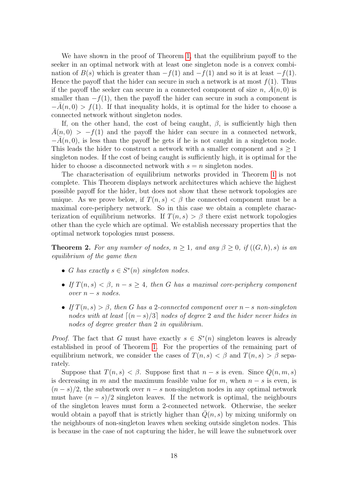We have shown in the proof of Theorem [1,](#page-16-0) that the equilibrium payoff to the seeker in an optimal network with at least one singleton node is a convex combination of  $B(s)$  which is greater than  $-f(1)$  and  $-f(1)$  and so it is at least  $-f(1)$ . Hence the payoff that the hider can secure in such a network is at most  $f(1)$ . Thus if the payoff the seeker can secure in a connected component of size n,  $A(n, 0)$  is smaller than  $-f(1)$ , then the payoff the hider can secure in such a component is  $-\bar{A}(n,0) > f(1)$ . If that inequality holds, it is optimal for the hider to choose a connected network without singleton nodes.

If, on the other hand, the cost of being caught,  $\beta$ , is sufficiently high then  $\overline{A}(n,0) > -f(1)$  and the payoff the hider can secure in a connected network,  $-A(n, 0)$ , is less than the payoff he gets if he is not caught in a singleton node. This leads the hider to construct a network with a smaller component and  $s \geq 1$ singleton nodes. If the cost of being caught is sufficiently high, it is optimal for the hider to choose a disconnected network with  $s = n$  singleton nodes.

The characterisation of equilibrium networks provided in Theorem [1](#page-16-0) is not complete. This Theorem displays network architectures which achieve the highest possible payoff for the hider, but does not show that these network topologies are unique. As we prove below, if  $T(n, s) < \beta$  the connected component must be a maximal core-periphery network. So in this case we obtain a complete characterization of equilibrium networks. If  $T(n, s) > \beta$  there exist network topologies other than the cycle which are optimal. We establish necessary properties that the optimal network topologies must possess.

<span id="page-17-0"></span>**Theorem 2.** For any number of nodes,  $n > 1$ , and any  $\beta > 0$ , if  $((G, h), s)$  is an equilibrium of the game then

- G has exactly  $s \in S^*(n)$  singleton nodes.
- If  $T(n, s) < \beta$ ,  $n s \geq 4$ , then G has a maximal core-periphery component over  $n - s$  nodes.
- If  $T(n, s) > \beta$ , then G has a 2-connected component over n s non-singleton nodes with at least  $\lceil (n - s)/3 \rceil$  nodes of degree 2 and the hider never hides in nodes of degree greater than 2 in equilibrium.

*Proof.* The fact that G must have exactly  $s \in S^*(n)$  singleton leaves is already established in proof of Theorem [1.](#page-16-0) For the properties of the remaining part of equilibrium network, we consider the cases of  $T(n, s) < \beta$  and  $T(n, s) > \beta$  separately.

Suppose that  $T(n, s) < \beta$ . Suppose first that  $n - s$  is even. Since  $Q(n, m, s)$ is decreasing in m and the maximum feasible value for m, when  $n - s$  is even, is  $(n - s)/2$ , the subnetwork over  $n - s$  non-singleton nodes in any optimal network must have  $(n - s)/2$  singleton leaves. If the network is optimal, the neighbours of the singleton leaves must form a 2-connected network. Otherwise, the seeker would obtain a payoff that is strictly higher than  $Q(n, s)$  by mixing uniformly on the neighbours of non-singleton leaves when seeking outside singleton nodes. This is because in the case of not capturing the hider, he will leave the subnetwork over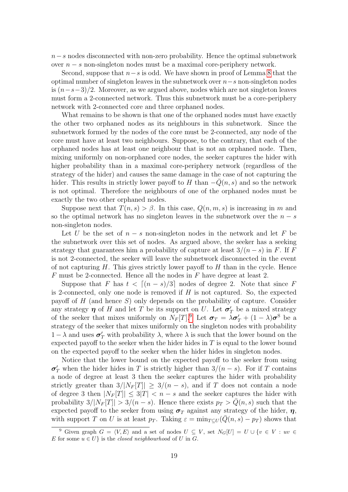$n-s$  nodes disconnected with non-zero probability. Hence the optimal subnetwork over  $n - s$  non-singleton nodes must be a maximal core-periphery network.

Second, suppose that  $n-s$  is odd. We have shown in proof of Lemma [8](#page-16-1) that the optimal number of singleton leaves in the subnetwork over  $n-s$  non-singleton nodes is  $(n-s-3)/2$ . Moreover, as we argued above, nodes which are not singleton leaves must form a 2-connected network. Thus this subnetwork must be a core-periphery network with 2-connected core and three orphaned nodes.

What remains to be shown is that one of the orphaned nodes must have exactly the other two orphaned nodes as its neighbours in this subnetwork. Since the subnetwork formed by the nodes of the core must be 2-connected, any node of the core must have at least two neighbours. Suppose, to the contrary, that each of the orphaned nodes has at least one neighbour that is not an orphaned node. Then, mixing uniformly on non-orphaned core nodes, the seeker captures the hider with higher probability than in a maximal core-periphery network (regardless of the strategy of the hider) and causes the same damage in the case of not capturing the hider. This results in strictly lower payoff to H than  $-\overline{Q}(n, s)$  and so the network is not optimal. Therefore the neighbours of one of the orphaned nodes must be exactly the two other orphaned nodes.

Suppose next that  $T(n, s) > \beta$ . In this case,  $Q(n, m, s)$  is increasing in m and so the optimal network has no singleton leaves in the subnetwork over the  $n - s$ non-singleton nodes.

Let U be the set of  $n - s$  non-singleton nodes in the network and let F be the subnetwork over this set of nodes. As argued above, the seeker has a seeking strategy that guarantees him a probability of capture at least  $3/(n-s)$  in F. If F is not 2-connected, the seeker will leave the subnetwork disconnected in the event of not capturing  $H$ . This gives strictly lower payoff to  $H$  than in the cycle. Hence  $F$  must be 2-connected. Hence all the nodes in  $F$  have degree at least 2.

Suppose that F has  $t < \lceil (n - s)/3 \rceil$  nodes of degree 2. Note that since F is 2-connected, only one node is removed if  $H$  is not captured. So, the expected payoff of  $H$  (and hence  $S$ ) only depends on the probability of capture. Consider any strategy  $\eta$  of H and let T be its support on U. Let  $\sigma'_T$  be a mixed strategy of the seeker that mixes uniformly on  $N_F[T]$ .<sup>[9](#page-18-0)</sup> Let  $\sigma_T = \lambda \sigma'_T + (1 - \lambda) \sigma^S$  be a strategy of the seeker that mixes uniformly on the singleton nodes with probability  $1 - \lambda$  and uses  $\sigma'_T$  with probability  $\lambda$ , where  $\lambda$  is such that the lower bound on the expected payoff to the seeker when the hider hides in  $T$  is equal to the lower bound on the expected payoff to the seeker when the hider hides in singleton nodes.

Notice that the lower bound on the expected payoff to the seeker from using  $\sigma'_T$  when the hider hides in T is strictly higher than 3/(n – s). For if T contains a node of degree at least 3 then the seeker captures the hider with probability strictly greater than  $3/|N_F|T|| \geq 3/(n-s)$ , and if T does not contain a node of degree 3 then  $|N_F[T]| \leq 3|T| < n - s$  and the seeker captures the hider with probability  $3/|N_F|T| > 3/(n-s)$ . Hence there exists  $p_T > \overline{Q}(n, s)$  such that the expected payoff to the seeker from using  $\sigma_T$  against any strategy of the hider,  $\eta$ , with support T on U is at least  $p_T$ . Taking  $\varepsilon = \min_{T \subset U} (\overline{Q}(n, s) - p_T)$  shows that

<span id="page-18-0"></span><sup>&</sup>lt;sup>9</sup> Given graph  $G = \langle V, E \rangle$  and a set of nodes  $U \subseteq V$ , set  $N_G[U] = U \cup \{v \in V : uv \in V\}$ E for some  $u \in U$  is the *closed neighbourhood* of U in G.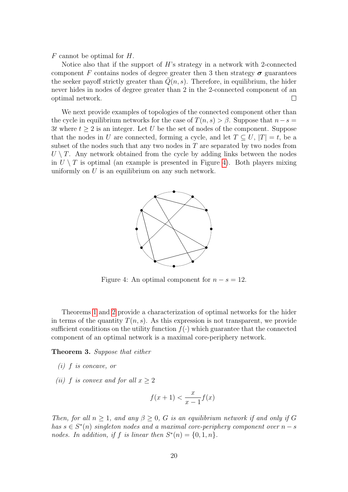F cannot be optimal for H.

Notice also that if the support of  $H$ 's strategy in a network with 2-connected component F contains nodes of degree greater then 3 then strategy  $\sigma$  guarantees the seeker payoff strictly greater than  $\overline{Q}(n, s)$ . Therefore, in equilibrium, the hider never hides in nodes of degree greater than 2 in the 2-connected component of an optimal network.  $\Box$ 

We next provide examples of topologies of the connected component other than the cycle in equilibrium networks for the case of  $T(n, s) > \beta$ . Suppose that  $n-s =$ 3t where  $t > 2$  is an integer. Let U be the set of nodes of the component. Suppose that the nodes in U are connected, forming a cycle, and let  $T \subseteq U$ ,  $|T| = t$ , be a subset of the nodes such that any two nodes in  $T$  are separated by two nodes from  $U \setminus T$ . Any network obtained from the cycle by adding links between the nodes in  $U \setminus T$  is optimal (an example is presented in Figure [4\)](#page-19-0). Both players mixing uniformly on  $U$  is an equilibrium on any such network.

![](_page_19_Figure_3.jpeg)

<span id="page-19-0"></span>Figure 4: An optimal component for  $n - s = 12$ .

Theorems [1](#page-16-0) and [2](#page-17-0) provide a characterization of optimal networks for the hider in terms of the quantity  $T(n, s)$ . As this expression is not transparent, we provide sufficient conditions on the utility function  $f(\cdot)$  which guarantee that the connected component of an optimal network is a maximal core-periphery network.

Theorem 3. Suppose that either

- (i) f is concave, or
- (ii) f is convex and for all  $x > 2$

$$
f(x+1) < \frac{x}{x-1}f(x)
$$

Then, for all  $n \geq 1$ , and any  $\beta \geq 0$ , G is an equilibrium network if and only if G has  $s \in S^*(n)$  singleton nodes and a maximal core-periphery component over  $n-s$ nodes. In addition, if f is linear then  $S^*(n) = \{0, 1, n\}.$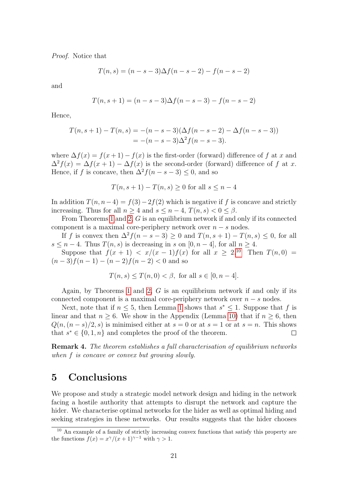Proof. Notice that

$$
T(n,s) = (n - s - 3)\Delta f(n - s - 2) - f(n - s - 2)
$$

and

$$
T(n, s + 1) = (n - s - 3)\Delta f(n - s - 3) - f(n - s - 2)
$$

Hence,

$$
T(n,s+1) - T(n,s) = -(n-s-3)(\Delta f(n-s-2) - \Delta f(n-s-3))
$$
  
= -(n-s-3)\Delta^2 f(n-s-3).

where  $\Delta f(x) = f(x+1) - f(x)$  is the first-order (forward) difference of f at x and  $\Delta^2 f(x) = \Delta f(x+1) - \Delta f(x)$  is the second-order (forward) difference of f at x. Hence, if f is concave, then  $\Delta^2 f(n-s-3) \leq 0$ , and so

$$
T(n, s+1) - T(n, s) \ge 0
$$
 for all  $s \le n-4$ 

In addition  $T(n, n-4) = f(3) - 2f(2)$  which is negative if f is concave and strictly increasing. Thus for all  $n \geq 4$  and  $s \leq n-4$ ,  $T(n, s) < 0 \leq \beta$ .

From Theorems [1](#page-16-0) and [2,](#page-17-0) G is an equilibrium network if and only if its connected component is a maximal core-periphery network over  $n - s$  nodes.

If f is convex then  $\Delta^2 f(n-s-3) \geq 0$  and  $T(n,s+1) - T(n,s) \leq 0$ , for all  $s \leq n-4$ . Thus  $T(n, s)$  is decreasing in s on  $[0, n-4]$ , for all  $n \geq 4$ .

Suppose that  $f(x + 1) < x/(x - 1)f(x)$  for all  $x \ge 2^{10}$  $x \ge 2^{10}$  $x \ge 2^{10}$  Then  $T(n, 0) =$  $(n-3)f(n-1)-(n-2)f(n-2)<0$  and so

$$
T(n, s) \leq T(n, 0) < \beta
$$
, for all  $s \in [0, n-4]$ .

Again, by Theorems [1](#page-16-0) and [2,](#page-17-0)  $G$  is an equilibrium network if and only if its connected component is a maximal core-periphery network over  $n - s$  nodes.

Next, note that if  $n \leq 5$ , then Lemma [1](#page-8-2) shows that  $s^* \leq 1$ . Suppose that f is linear and that  $n \geq 6$ . We show in the Appendix (Lemma [10\)](#page-29-0) that if  $n \geq 6$ , then  $Q(n,(n-s)/2,s)$  is minimised either at  $s=0$  or at  $s=1$  or at  $s=n$ . This shows that  $s^* \in \{0, 1, n\}$  and completes the proof of the theorem.  $\Box$ 

Remark 4. The theorem establishes a full characterisation of equilibrium networks when f is concave or convex but growing slowly.

### 5 Conclusions

We propose and study a strategic model network design and hiding in the network facing a hostile authority that attempts to disrupt the network and capture the hider. We characterise optimal networks for the hider as well as optimal hiding and seeking strategies in these networks. Our results suggests that the hider chooses

<span id="page-20-0"></span><sup>&</sup>lt;sup>10</sup> An example of a family of strictly increasing convex functions that satisfy this property are the functions  $f(x) = x^{\gamma}/(x+1)^{\gamma-1}$  with  $\gamma > 1$ .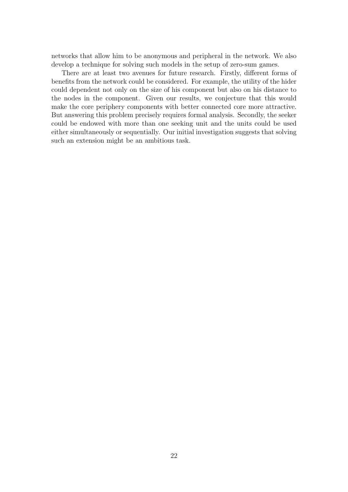networks that allow him to be anonymous and peripheral in the network. We also develop a technique for solving such models in the setup of zero-sum games.

There are at least two avenues for future research. Firstly, different forms of benefits from the network could be considered. For example, the utility of the hider could dependent not only on the size of his component but also on his distance to the nodes in the component. Given our results, we conjecture that this would make the core periphery components with better connected core more attractive. But answering this problem precisely requires formal analysis. Secondly, the seeker could be endowed with more than one seeking unit and the units could be used either simultaneously or sequentially. Our initial investigation suggests that solving such an extension might be an ambitious task.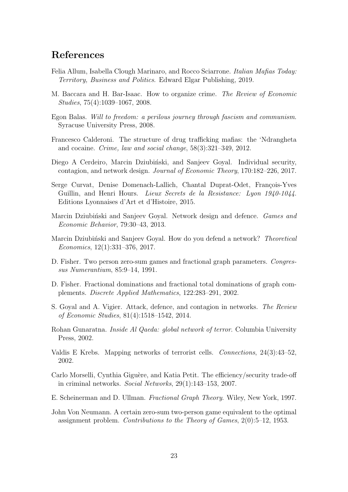### References

- <span id="page-22-2"></span>Felia Allum, Isabella Clough Marinaro, and Rocco Sciarrone. Italian Mafias Today: Territory, Business and Politics. Edward Elgar Publishing, 2019.
- <span id="page-22-10"></span>M. Baccara and H. Bar-Isaac. How to organize crime. The Review of Economic Studies, 75(4):1039–1067, 2008.
- <span id="page-22-3"></span>Egon Balas. Will to freedom: a perilous journey through fascism and communism. Syracuse University Press, 2008.
- <span id="page-22-6"></span>Francesco Calderoni. The structure of drug trafficking mafias: the 'Ndrangheta and cocaine. Crime, law and social change, 58(3):321–349, 2012.
- <span id="page-22-15"></span>Diego A Cerdeiro, Marcin Dziubiński, and Sanjeev Goyal. Individual security, contagion, and network design. Journal of Economic Theory, 170:182–226, 2017.
- <span id="page-22-4"></span>Serge Curvat, Denise Domenach-Lallich, Chantal Duprat-Odet, François-Yves Guillin, and Henri Hours. Lieux Secrets de la Resistance: Lyon 1940-1044. Editions Lyonnaises d'Art et d'Histoire, 2015.
- <span id="page-22-13"></span>Marcin Dziubiński and Sanjeev Goyal. Network design and defence. *Games and* Economic Behavior, 79:30–43, 2013.
- <span id="page-22-14"></span>Marcin Dziubiński and Sanjeev Goyal. How do you defend a network? *Theoretical* Economics, 12(1):331–376, 2017.
- <span id="page-22-8"></span>D. Fisher. Two person zero-sum games and fractional graph parameters. Congressus Numerantium, 85:9–14, 1991.
- <span id="page-22-9"></span>D. Fisher. Fractional dominations and fractional total dominations of graph complements. Discrete Applied Mathematics, 122:283–291, 2002.
- <span id="page-22-12"></span>S. Goyal and A. Vigier. Attack, defence, and contagion in networks. The Review of Economic Studies, 81(4):1518–1542, 2014.
- <span id="page-22-1"></span>Rohan Gunaratna. Inside Al Qaeda: global network of terror. Columbia University Press, 2002.
- <span id="page-22-5"></span>Valdis E Krebs. Mapping networks of terrorist cells. Connections, 24(3):43–52, 2002.
- <span id="page-22-0"></span>Carlo Morselli, Cynthia Giguère, and Katia Petit. The efficiency/security trade-off in criminal networks. Social Networks, 29(1):143–153, 2007.
- <span id="page-22-11"></span>E. Scheinerman and D. Ullman. Fractional Graph Theory. Wiley, New York, 1997.
- <span id="page-22-7"></span>John Von Neumann. A certain zero-sum two-person game equivalent to the optimal assignment problem. Contributions to the Theory of Games, 2(0):5–12, 1953.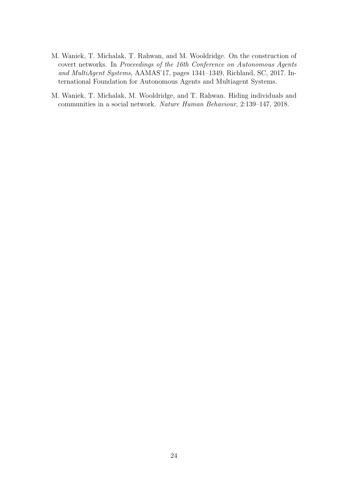- <span id="page-23-0"></span>M. Waniek, T. Michalak, T. Rahwan, and M. Wooldridge. On the construction of covert networks. In Proceedings of the 16th Conference on Autonomous Agents and MultiAgent Systems, AAMAS'17, pages 1341–1349, Richland, SC, 2017. International Foundation for Autonomous Agents and Multiagent Systems.
- <span id="page-23-1"></span>M. Waniek, T. Michalak, M. Wooldridge, and T. Rahwan. Hiding individuals and communities in a social network. Nature Human Behaviour, 2:139–147, 2018.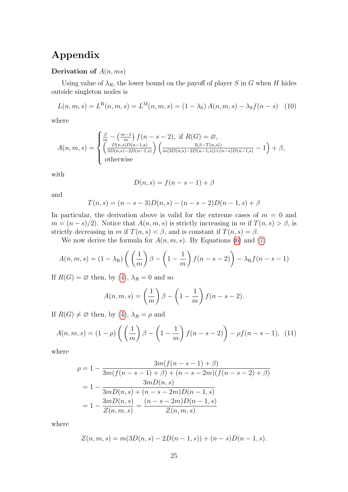## Appendix

#### Derivation of  $A(n, ms)$

Using value of  $\lambda_R$ , the lower bound on the payoff of player S in G when H hides outside singleton nodes is

$$
L(n, m, s) = L^{R}(n, m, s) = L^{M}(n, m, s) = (1 - \lambda_{S}) A(n, m, s) - \lambda_{S} f(n - s) \quad (10)
$$

where

$$
A(n, m, s) = \begin{cases} \frac{\beta}{m} - \left(\frac{m-1}{m}\right) f(n-s-2), & \text{if } R(G) = \varnothing, \\ \left(\frac{D(n, s)D(n-1, s)}{3D(n, s) - 2D(n-1, s)}\right) \left(\frac{3(\beta - T(n, s))}{m(3D(n, s) - 2D(n-1, s)) + (n-s)D(n-1, s)} - 1\right) + \beta, \\ \text{otherwise} \end{cases}
$$

with

$$
D(n,s) = f(n-s-1) + \beta
$$

and

$$
T(n,s) = (n - s - 3)D(n,s) - (n - s - 2)D(n - 1, s) + \beta
$$

In particular, the derivation above is valid for the extreme cases of  $m = 0$  and  $m = (n - s)/2$ . Notice that  $A(n, m, s)$  is strictly increasing in m if  $T(n, s) > \beta$ , is strictly decreasing in m if  $T(n, s) < \beta$ , and is constant if  $T(n, s) = \beta$ .

We now derive the formula for  $A(n, m, s)$ . By Equations [\(6\)](#page-13-0) and [\(7\)](#page-14-2)

$$
A(n, m, s) = (1 - \lambda_{\mathcal{R}}) \left( \left( \frac{1}{m} \right) \beta - \left( 1 - \frac{1}{m} \right) f(n - s - 2) \right) - \lambda_{\mathcal{R}} f(n - s - 1)
$$

If  $R(G) = \emptyset$  then, by [\(4\)](#page-12-2),  $\lambda_R = 0$  and so

$$
A(n, m, s) = \left(\frac{1}{m}\right)\beta - \left(1 - \frac{1}{m}\right)f(n - s - 2).
$$

If  $R(G) \neq \emptyset$  then, by [\(4\)](#page-12-2),  $\lambda_R = \rho$  and

<span id="page-24-0"></span>
$$
A(n, m, s) = (1 - \rho) \left( \left( \frac{1}{m} \right) \beta - \left( 1 - \frac{1}{m} \right) f(n - s - 2) \right) - \rho f(n - s - 1), \tag{11}
$$

where

$$
\rho = 1 - \frac{3m(f(n - s - 1) + \beta)}{3m(f(n - s - 1) + \beta) + (n - s - 2m)(f(n - s - 2) + \beta)}
$$
  
= 
$$
1 - \frac{3mD(n, s)}{3mD(n, s) + (n - s - 2m)D(n - 1, s)}
$$
  
= 
$$
1 - \frac{3mD(n, s)}{Z(n, m, s)} = \frac{(n - s - 2m)D(n - 1, s)}{Z(n, m, s)}
$$

where

$$
Z(n, m, s) = m(3D(n, s) - 2D(n - 1, s)) + (n - s)D(n - 1, s).
$$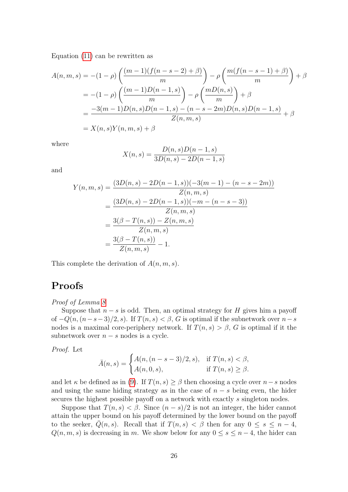Equation [\(11\)](#page-24-0) can be rewritten as

$$
A(n, m, s) = -(1 - \rho) \left( \frac{(m - 1)(f(n - s - 2) + \beta)}{m} \right) - \rho \left( \frac{m(f(n - s - 1) + \beta)}{m} \right) + \beta
$$
  
= -(1 - \rho) \left( \frac{(m - 1)D(n - 1, s)}{m} \right) - \rho \left( \frac{mD(n, s)}{m} \right) + \beta  
= \frac{-3(m - 1)D(n, s)D(n - 1, s) - (n - s - 2m)D(n, s)D(n - 1, s)}{Z(n, m, s)} + \beta  
= X(n, s)Y(n, m, s) + \beta

where

$$
X(n,s) = \frac{D(n,s)D(n-1,s)}{3D(n,s) - 2D(n-1,s)}
$$

and

$$
Y(n, m, s) = \frac{(3D(n, s) - 2D(n - 1, s))(-3(m - 1) - (n - s - 2m))}{Z(n, m, s)}
$$
  
= 
$$
\frac{(3D(n, s) - 2D(n - 1, s))(-m - (n - s - 3))}{Z(n, m, s)}
$$
  
= 
$$
\frac{3(\beta - T(n, s)) - Z(n, m, s)}{Z(n, m, s)}
$$
  
= 
$$
\frac{3(\beta - T(n, s))}{Z(n, m, s)} - 1.
$$

This complete the derivation of  $A(n, m, s)$ .

## Proofs

Proof of Lemma [8](#page-16-1)

Suppose that  $n - s$  is odd. Then, an optimal strategy for H gives him a payoff of  $-Q(n,(n-s-3)/2,s)$ . If  $T(n,s) < \beta$ , G is optimal if the subnetwork over  $n-s$ nodes is a maximal core-periphery network. If  $T(n, s) > \beta$ , G is optimal if it the subnetwork over  $n - s$  nodes is a cycle.

Proof. Let

$$
\bar{A}(n,s) = \begin{cases} A(n, (n-s-3)/2, s), & \text{if } T(n,s) < \beta, \\ A(n, 0, s), & \text{if } T(n,s) \ge \beta. \end{cases}
$$

and let  $\kappa$  be defined as in [\(9\)](#page-15-1). If  $T(n, s) \geq \beta$  then choosing a cycle over  $n-s$  nodes and using the same hiding strategy as in the case of  $n - s$  being even, the hider secures the highest possible payoff on a network with exactly s singleton nodes.

Suppose that  $T(n, s) < \beta$ . Since  $(n - s)/2$  is not an integer, the hider cannot attain the upper bound on his payoff determined by the lower bound on the payoff to the seeker,  $\overline{Q}(n, s)$ . Recall that if  $T(n, s) < \beta$  then for any  $0 \le s \le n-4$ ,  $Q(n, m, s)$  is decreasing in m. We show below for any  $0 \leq s \leq n-4$ , the hider can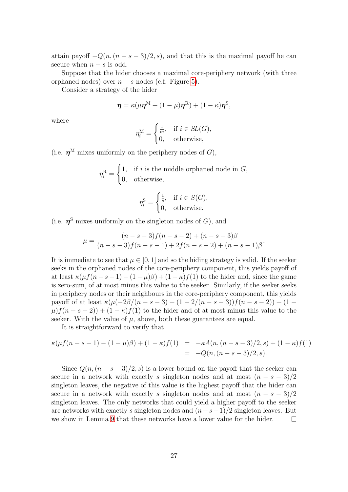attain payoff  $-Q(n,(n-s-3)/2,s)$ , and that this is the maximal payoff he can secure when  $n - s$  is odd.

Suppose that the hider chooses a maximal core-periphery network (with three orphaned nodes) over  $n - s$  nodes (c.f. Figure [5\)](#page-27-0).

Consider a strategy of the hider

$$
\boldsymbol{\eta} = \kappa(\mu \boldsymbol{\eta}^{\mathrm{M}} + (1 - \mu)\boldsymbol{\eta}^{\mathrm{R}}) + (1 - \kappa)\boldsymbol{\eta}^{\mathrm{S}},
$$

where

$$
\eta_i^{\mathcal{M}} = \begin{cases} \frac{1}{m}, & \text{if } i \in SL(G), \\ 0, & \text{otherwise}, \end{cases}
$$

(i.e.  $\boldsymbol{\eta}^{\text{M}}$  mixes uniformly on the periphery nodes of G),

$$
\eta_i^{\text{R}} = \begin{cases} 1, & \text{if } i \text{ is the middle orphaned node in } G, \\ 0, & \text{otherwise,} \end{cases}
$$

$$
\eta_i^{\mathcal{S}} = \begin{cases} \frac{1}{s}, & \text{if } i \in S(G), \\ 0, & \text{otherwise.} \end{cases}
$$

(i.e.  $\eta^{\rm S}$  mixes uniformly on the singleton nodes of G), and

$$
\mu = \frac{(n-s-3)f(n-s-2) + (n-s-3)\beta}{(n-s-3)f(n-s-1) + 2f(n-s-2) + (n-s-1)\beta}.
$$

It is immediate to see that  $\mu \in [0, 1]$  and so the hiding strategy is valid. If the seeker seeks in the orphaned nodes of the core-periphery component, this yields payoff of at least  $\kappa(\mu f(n-s-1) - (1-\mu)\beta) + (1-\kappa)f(1)$  to the hider and, since the game is zero-sum, of at most minus this value to the seeker. Similarly, if the seeker seeks in periphery nodes or their neighbours in the core-periphery component, this yields payoff of at least  $\kappa(\mu(-2\beta/(n-s-3)+(1-2/(n-s-3))f(n-s-2))+(1 \mu$ ) $f(n-s-2)$ ) +  $(1-\kappa) f(1)$  to the hider and of at most minus this value to the seeker. With the value of  $\mu$ , above, both these guarantees are equal.

It is straightforward to verify that

$$
\kappa(\mu f(n-s-1) - (1-\mu)\beta) + (1-\kappa)f(1) = -\kappa A(n,(n-s-3)/2,s) + (1-\kappa)f(1)
$$
  
= -Q(n,(n-s-3)/2,s).

Since  $Q(n,(n-s-3)/2,s)$  is a lower bound on the payoff that the seeker can secure in a network with exactly s singleton nodes and at most  $(n - s - 3)/2$ singleton leaves, the negative of this value is the highest payoff that the hider can secure in a network with exactly s singleton nodes and at most  $(n - s - 3)/2$ singleton leaves. The only networks that could yield a higher payoff to the seeker are networks with exactly s singleton nodes and  $(n-s-1)/2$  singleton leaves. But we show in Lemma [9](#page-28-1) that these networks have a lower value for the hider.  $\Box$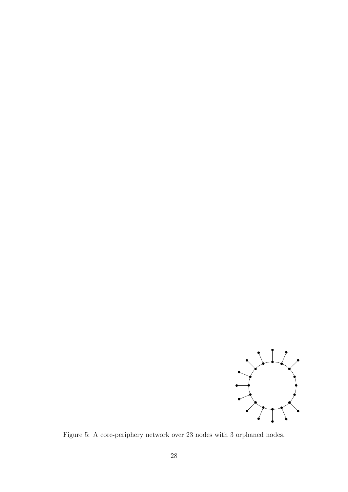![](_page_27_Figure_0.jpeg)

<span id="page-27-0"></span>Figure 5: A core-periphery network over 23 nodes with 3 orphaned nodes.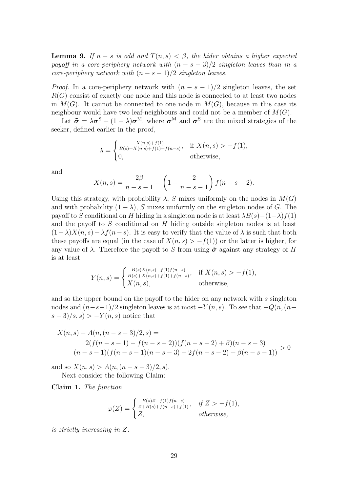<span id="page-28-1"></span>**Lemma 9.** If  $n - s$  is odd and  $T(n, s) < \beta$ , the hider obtains a higher expected payoff in a core-periphery network with  $(n - s - 3)/2$  singleton leaves than in a core-periphery network with  $(n - s - 1)/2$  singleton leaves.

*Proof.* In a core-periphery network with  $(n - s - 1)/2$  singleton leaves, the set  $R(G)$  consist of exactly one node and this node is connected to at least two nodes in  $M(G)$ . It cannot be connected to one node in  $M(G)$ , because in this case its neighbour would have two leaf-neighbours and could not be a member of  $M(G)$ .

Let  $\tilde{\sigma} = \lambda \sigma^{S} + (1 - \lambda) \sigma^{M}$ , where  $\sigma^{M}$  and  $\sigma^{S}$  are the mixed strategies of the seeker, defined earlier in the proof,

$$
\lambda = \begin{cases} \frac{X(n,s) + f(1)}{B(s) + X(n,s) + f(1) + f(n-s)}, & \text{if } X(n,s) > -f(1), \\ 0, & \text{otherwise}, \end{cases}
$$

and

$$
X(n,s) = \frac{2\beta}{n-s-1} - \left(1 - \frac{2}{n-s-1}\right) f(n-s-2).
$$

Using this strategy, with probability  $\lambda$ , S mixes uniformly on the nodes in  $M(G)$ and with probability  $(1 - \lambda)$ , S mixes uniformly on the singleton nodes of G. The payoff to S conditional on H hiding in a singleton node is at least  $\lambda B(s)-(1-\lambda)f(1)$ and the payoff to S conditional on H hiding outside singleton nodes is at least  $(1-\lambda)X(n, s)-\lambda f(n-s)$ . It is easy to verify that the value of  $\lambda$  is such that both these payoffs are equal (in the case of  $X(n, s) > -f(1)$ ) or the latter is higher, for any value of  $\lambda$ . Therefore the payoff to S from using  $\tilde{\sigma}$  against any strategy of H is at least

$$
Y(n,s) = \begin{cases} \frac{B(s)X(n,s) - f(1)f(n-s)}{B(s) + X(n,s) + f(1) + f(n-s)}, & \text{if } X(n,s) > -f(1),\\ X(n,s), & \text{otherwise,} \end{cases}
$$

and so the upper bound on the payoff to the hider on any network with s singleton nodes and  $(n-s-1)/2$  singleton leaves is at most  $-Y(n, s)$ . To see that  $-Q(n, (n-s-1)/2)$  $(s-3)/s, s) > -Y(n, s)$  notice that

$$
X(n,s) - A(n,(n-s-3)/2,s) =
$$
  

$$
\frac{2(f(n-s-1) - f(n-s-2))(f(n-s-2) + \beta)(n-s-3)}{(n-s-1)(f(n-s-1)(n-s-3) + 2f(n-s-2) + \beta(n-s-1))} > 0
$$

and so  $X(n, s) > A(n, (n - s - 3)/2, s)$ . Next consider the following Claim:

<span id="page-28-0"></span>Claim 1. The function

$$
\varphi(Z) = \begin{cases} \frac{B(s)Z - f(1)f(n-s)}{Z + B(s) + f(n-s) + f(1)}, & \text{if } Z > -f(1), \\ Z, & \text{otherwise,} \end{cases}
$$

is strictly increasing in Z.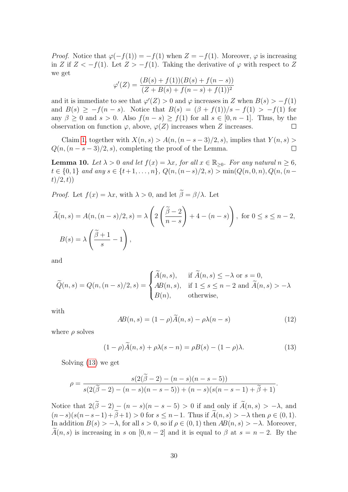*Proof.* Notice that  $\varphi(-f(1)) = -f(1)$  when  $Z = -f(1)$ . Moreover,  $\varphi$  is increasing in Z if  $Z < -f(1)$ . Let  $Z > -f(1)$ . Taking the derivative of  $\varphi$  with respect to Z we get

$$
\varphi'(Z) = \frac{(B(s) + f(1))(B(s) + f(n - s))}{(Z + B(s) + f(n - s) + f(1))^2}
$$

and it is immediate to see that  $\varphi'(Z) > 0$  and  $\varphi$  increases in Z when  $B(s) > -f(1)$ and  $B(s) \geq -f(n-s)$ . Notice that  $B(s) = (\beta + f(1))/s - f(1) > -f(1)$  for any  $\beta \geq 0$  and  $s > 0$ . Also  $f(n - s) \geq f(1)$  for all  $s \in [0, n - 1]$ . Thus, by the observation on function  $\varphi$ , above,  $\varphi(Z)$  increases when Z increases.  $\Box$ 

Claim [1,](#page-28-0) together with  $X(n, s) > A(n, (n - s - 3)/2, s)$ , implies that  $Y(n, s)$  $Q(n,(n-s-3)/2,s)$ , completing the proof of the Lemma.  $\Box$ 

<span id="page-29-0"></span>**Lemma 10.** Let  $\lambda > 0$  and let  $f(x) = \lambda x$ , for all  $x \in \mathbb{R}_{\geq 0}$ . For any natural  $n \geq 6$ ,  $t \in \{0,1\}$  and any  $s \in \{t+1,\ldots,n\}$ ,  $Q(n,(n-s)/2,s) > \min(Q(n,0,n), Q(n,(n-s)/2,s))$  $t)/2, t)$ 

*Proof.* Let  $f(x) = \lambda x$ , with  $\lambda > 0$ , and let  $\tilde{\beta} = \beta/\lambda$ . Let

$$
\widetilde{A}(n,s) = A(n,(n-s)/2,s) = \lambda \left( 2\left(\frac{\widetilde{\beta}-2}{n-s}\right) + 4 - (n-s)\right), \text{ for } 0 \le s \le n-2,
$$

$$
B(s) = \lambda \left(\frac{\widetilde{\beta}+1}{s} - 1\right),
$$

and

$$
\widetilde{Q}(n,s) = Q(n,(n-s)/2,s) = \begin{cases} \widetilde{A}(n,s), & \text{if } \widetilde{A}(n,s) \le -\lambda \text{ or } s = 0, \\ AB(n,s), & \text{if } 1 \le s \le n-2 \text{ and } \widetilde{A}(n,s) > -\lambda \\ B(n), & \text{otherwise,} \end{cases}
$$

with

<span id="page-29-2"></span>
$$
AB(n,s) = (1 - \rho)\widetilde{A}(n,s) - \rho\lambda(n-s)
$$
\n(12)

where  $\rho$  solves

<span id="page-29-1"></span>
$$
(1 - \rho)\widetilde{A}(n, s) + \rho\lambda(s - n) = \rho B(s) - (1 - \rho)\lambda.
$$
 (13)

Solving [\(13\)](#page-29-1) we get

$$
\rho = \frac{s(2(\beta - 2) - (n - s)(n - s - 5))}{s(2(\widetilde{\beta} - 2) - (n - s)(n - s - 5)) + (n - s)(s(n - s - 1) + \widetilde{\beta} + 1)}.
$$

Notice that  $2(\tilde{\beta}-2) - (n-s)(n-s-5) > 0$  if and only if  $\tilde{A}(n, s) > -\lambda$ , and  $(n-s)(s(n-s-1)+\tilde{\beta}+1) > 0$  for  $s \leq n-1$ . Thus if  $\tilde{A}(n, s) > -\lambda$  then  $\rho \in (0, 1)$ . In addition  $B(s) > -\lambda$ , for all  $s > 0$ , so if  $\rho \in (0,1)$  then  $AB(n, s) > -\lambda$ . Moreover,  $\widetilde{A}(n, s)$  is increasing in s on  $[0, n-2]$  and it is equal to  $\beta$  at  $s = n-2$ . By the